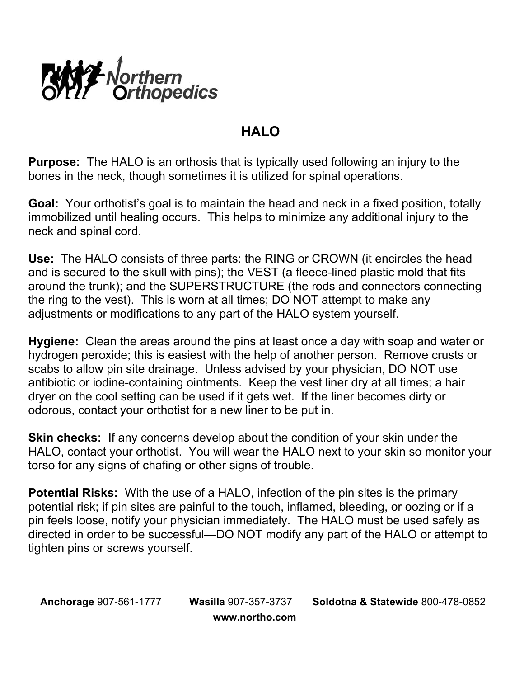

## **HALO**

**Purpose:** The HALO is an orthosis that is typically used following an injury to the bones in the neck, though sometimes it is utilized for spinal operations.

**Goal:** Your orthotist's goal is to maintain the head and neck in a fixed position, totally immobilized until healing occurs. This helps to minimize any additional injury to the neck and spinal cord.

**Use:** The HALO consists of three parts: the RING or CROWN (it encircles the head and is secured to the skull with pins); the VEST (a fleece-lined plastic mold that fits around the trunk); and the SUPERSTRUCTURE (the rods and connectors connecting the ring to the vest). This is worn at all times; DO NOT attempt to make any adjustments or modifications to any part of the HALO system yourself.

**Hygiene:** Clean the areas around the pins at least once a day with soap and water or hydrogen peroxide; this is easiest with the help of another person. Remove crusts or scabs to allow pin site drainage. Unless advised by your physician, DO NOT use antibiotic or iodine-containing ointments. Keep the vest liner dry at all times; a hair dryer on the cool setting can be used if it gets wet. If the liner becomes dirty or odorous, contact your orthotist for a new liner to be put in.

**Skin checks:** If any concerns develop about the condition of your skin under the HALO, contact your orthotist. You will wear the HALO next to your skin so monitor your torso for any signs of chafing or other signs of trouble.

**Potential Risks:** With the use of a HALO, infection of the pin sites is the primary potential risk; if pin sites are painful to the touch, inflamed, bleeding, or oozing or if a pin feels loose, notify your physician immediately. The HALO must be used safely as directed in order to be successful—DO NOT modify any part of the HALO or attempt to tighten pins or screws yourself.